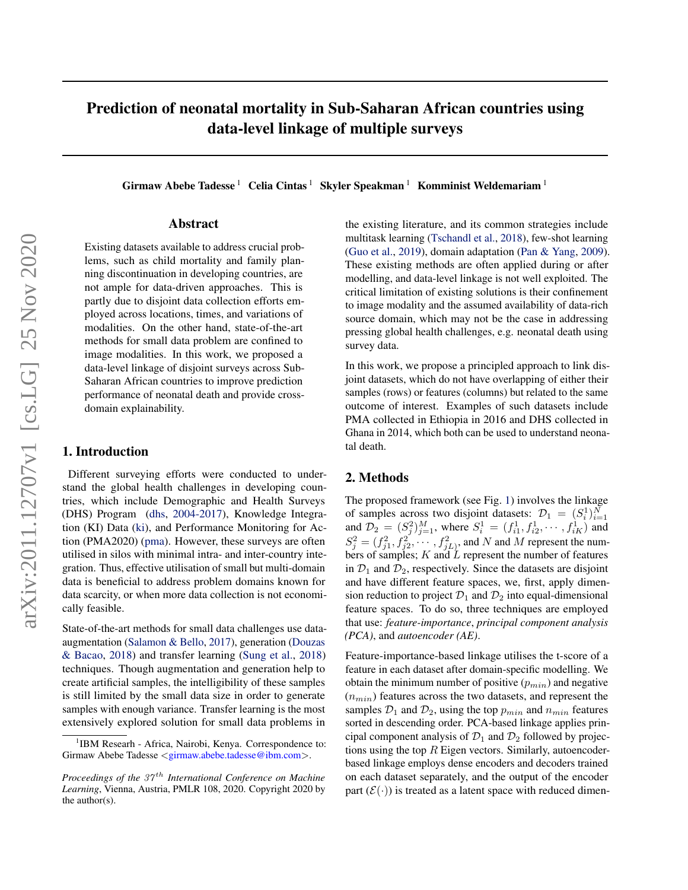# Prediction of neonatal mortality in Sub-Saharan African countries using data-level linkage of multiple surveys

Girmaw Abebe Tadesse<sup>1</sup> Celia Cintas<sup>1</sup> Skyler Speakman<sup>1</sup> Komminist Weldemariam<sup>1</sup>

### Abstract

Existing datasets available to address crucial problems, such as child mortality and family planning discontinuation in developing countries, are not ample for data-driven approaches. This is partly due to disjoint data collection efforts employed across locations, times, and variations of modalities. On the other hand, state-of-the-art methods for small data problem are confined to image modalities. In this work, we proposed a data-level linkage of disjoint surveys across Sub-Saharan African countries to improve prediction performance of neonatal death and provide crossdomain explainability.

# 1. Introduction

Different surveying efforts were conducted to understand the global health challenges in developing countries, which include Demographic and Health Surveys (DHS) Program [\(dhs,](#page-2-0) [2004-2017\)](#page-2-0), Knowledge Integration (KI) Data [\(ki\)](#page-2-0), and Performance Monitoring for Action (PMA2020) [\(pma\)](#page-2-0). However, these surveys are often utilised in silos with minimal intra- and inter-country integration. Thus, effective utilisation of small but multi-domain data is beneficial to address problem domains known for data scarcity, or when more data collection is not economically feasible.

State-of-the-art methods for small data challenges use dataaugmentation [\(Salamon & Bello,](#page-2-0) [2017\)](#page-2-0), generation [\(Douzas](#page-2-0) [& Bacao,](#page-2-0) [2018\)](#page-2-0) and transfer learning [\(Sung et al.,](#page-2-0) [2018\)](#page-2-0) techniques. Though augmentation and generation help to create artificial samples, the intelligibility of these samples is still limited by the small data size in order to generate samples with enough variance. Transfer learning is the most extensively explored solution for small data problems in

the existing literature, and its common strategies include multitask learning [\(Tschandl et al.,](#page-2-0) [2018\)](#page-2-0), few-shot learning [\(Guo et al.,](#page-2-0) [2019\)](#page-2-0), domain adaptation [\(Pan & Yang,](#page-2-0) [2009\)](#page-2-0). These existing methods are often applied during or after modelling, and data-level linkage is not well exploited. The critical limitation of existing solutions is their confinement to image modality and the assumed availability of data-rich source domain, which may not be the case in addressing pressing global health challenges, e.g. neonatal death using survey data.

In this work, we propose a principled approach to link disjoint datasets, which do not have overlapping of either their samples (rows) or features (columns) but related to the same outcome of interest. Examples of such datasets include PMA collected in Ethiopia in 2016 and DHS collected in Ghana in 2014, which both can be used to understand neonatal death.

#### 2. Methods

The proposed framework (see Fig. [1\)](#page-1-0) involves the linkage of samples across two disjoint datasets:  $\mathcal{D}_1 = (S_i^1)_{i=1}^N$ and  $\mathcal{D}_2 = (S_j^2)_{j=1}^M$ , where  $S_i^1 = (f_{i1}^1, f_{i2}^1, \dots, f_{iK}^1)$  and  $S_j^2 = (f_{j1}^2, f_{j2}^2, \cdots, f_{jL}^2)$ , and N and M represent the numbers of samples;  $K$  and  $\overline{L}$  represent the number of features in  $\mathcal{D}_1$  and  $\mathcal{D}_2$ , respectively. Since the datasets are disjoint and have different feature spaces, we, first, apply dimension reduction to project  $\mathcal{D}_1$  and  $\mathcal{D}_2$  into equal-dimensional feature spaces. To do so, three techniques are employed that use: *feature-importance*, *principal component analysis (PCA)*, and *autoencoder (AE)*.

Feature-importance-based linkage utilises the t-score of a feature in each dataset after domain-specific modelling. We obtain the minimum number of positive  $(p_{min})$  and negative  $(n_{min})$  features across the two datasets, and represent the samples  $\mathcal{D}_1$  and  $\mathcal{D}_2$ , using the top  $p_{min}$  and  $n_{min}$  features sorted in descending order. PCA-based linkage applies principal component analysis of  $\mathcal{D}_1$  and  $\mathcal{D}_2$  followed by projections using the top  $R$  Eigen vectors. Similarly, autoencoderbased linkage employs dense encoders and decoders trained on each dataset separately, and the output of the encoder part  $(\mathcal{E}(\cdot))$  is treated as a latent space with reduced dimen-

<sup>&</sup>lt;sup>1</sup>IBM Researh - Africa, Nairobi, Kenya. Correspondence to: Girmaw Abebe Tadesse <girmaw.abebe.tadesse@ibm.com>.

*Proceedings of the 37<sup>th</sup> International Conference on Machine Learning*, Vienna, Austria, PMLR 108, 2020. Copyright 2020 by the author(s).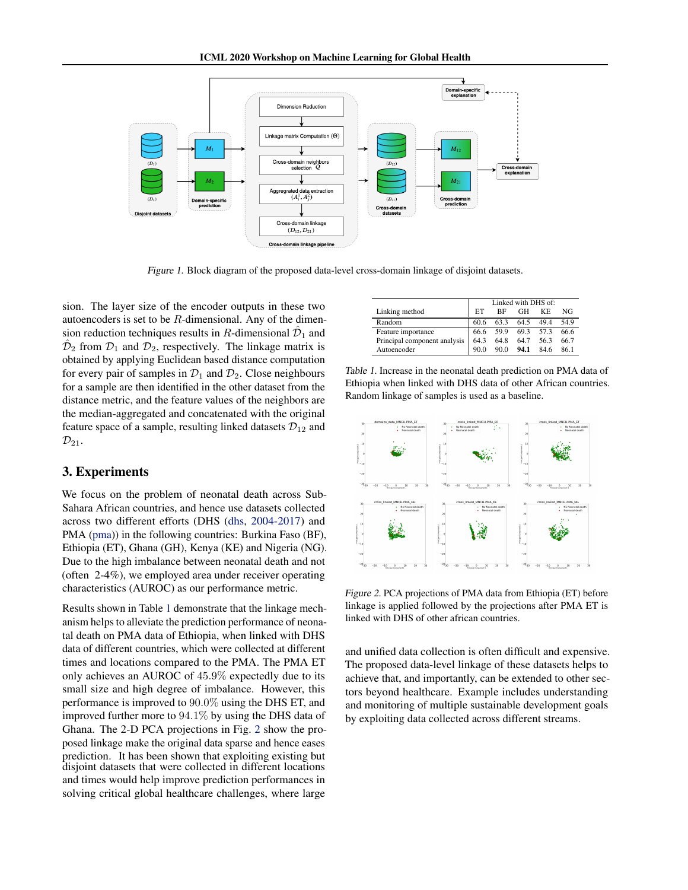<span id="page-1-0"></span>

Figure 1. Block diagram of the proposed data-level cross-domain linkage of disjoint datasets.

sion. The layer size of the encoder outputs in these two autoencoders is set to be  $R$ -dimensional. Any of the dimension reduction techniques results in R-dimensional  $\hat{\mathcal{D}}_1$  and  $\hat{\mathcal{D}}_2$  from  $\mathcal{D}_1$  and  $\mathcal{D}_2$ , respectively. The linkage matrix is obtained by applying Euclidean based distance computation for every pair of samples in  $\mathcal{D}_1$  and  $\mathcal{D}_2$ . Close neighbours for a sample are then identified in the other dataset from the distance metric, and the feature values of the neighbors are the median-aggregated and concatenated with the original feature space of a sample, resulting linked datasets  $\mathcal{D}_{12}$  and  $\mathcal{D}_{21}$ .

## 3. Experiments

We focus on the problem of neonatal death across Sub-Sahara African countries, and hence use datasets collected across two different efforts (DHS [\(dhs,](#page-2-0) [2004-2017\)](#page-2-0) and PMA [\(pma\)](#page-2-0)) in the following countries: Burkina Faso (BF), Ethiopia (ET), Ghana (GH), Kenya (KE) and Nigeria (NG). Due to the high imbalance between neonatal death and not (often 2-4%), we employed area under receiver operating characteristics (AUROC) as our performance metric.

Results shown in Table 1 demonstrate that the linkage mechanism helps to alleviate the prediction performance of neonatal death on PMA data of Ethiopia, when linked with DHS data of different countries, which were collected at different times and locations compared to the PMA. The PMA ET only achieves an AUROC of 45.9% expectedly due to its small size and high degree of imbalance. However, this performance is improved to 90.0% using the DHS ET, and improved further more to 94.1% by using the DHS data of Ghana. The 2-D PCA projections in Fig. 2 show the proposed linkage make the original data sparse and hence eases prediction. It has been shown that exploiting existing but disjoint datasets that were collected in different locations and times would help improve prediction performances in solving critical global healthcare challenges, where large

|                              | Linked with DHS of: |      |      |           |      |
|------------------------------|---------------------|------|------|-----------|------|
| Linking method               | EТ                  | ВF   | GН   | KF.       | NG   |
| Random                       | 60.6                | 633  | 64.5 | 494       | 54.9 |
| Feature importance           | 66.6                | 59.9 |      | 69.3 57.3 | 66.6 |
| Principal component analysis | 64.3                | 64.8 | 64.7 | 56.3      | 66.7 |
| Autoencoder                  | 90.0                | 90 Q | 94.1 | 84.6      | 861  |

Table 1. Increase in the neonatal death prediction on PMA data of Ethiopia when linked with DHS data of other African countries. Random linkage of samples is used as a baseline.



Figure 2. PCA projections of PMA data from Ethiopia (ET) before linkage is applied followed by the projections after PMA ET is linked with DHS of other african countries.

and unified data collection is often difficult and expensive. The proposed data-level linkage of these datasets helps to achieve that, and importantly, can be extended to other sectors beyond healthcare. Example includes understanding and monitoring of multiple sustainable development goals by exploiting data collected across different streams.